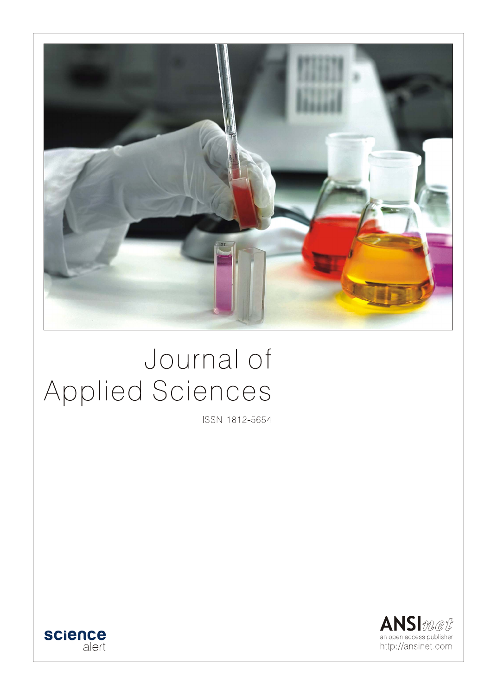

# Journal of Applied Sciences

ISSN 1812-5654



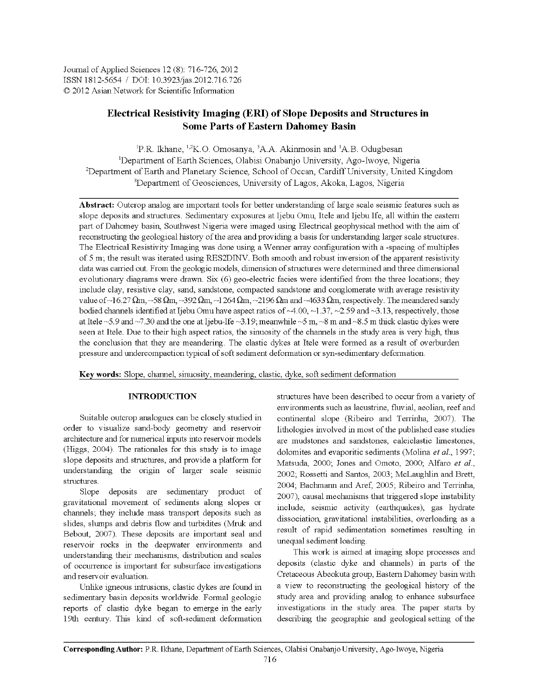Journal of Applied Sciences 12 (8): 716-726, 2012 ISSN 1812-5654 / DOI: 10.3923/jas.2012.716.726 © 2012 Asian Network for Scientific Information

# **Electrical Resistivity Imaging (ERI) of Slope Deposits and Structures in Some Parts of Eastern Dahomey Basin**

<sup>1</sup>P.R. Ikhane, <sup>1,2</sup>K.O. Omosanya, <sup>3</sup>A.A. Akinmosin and <sup>1</sup>A.B. Odugbesan <sup>1</sup>Department of Earth Sciences, Olabisi Onabanjo University, Ago-Iwoye, Nigeria <sup>2</sup>Department of Earth and Planetary Science, School of Occan, Cardiff University, United Kingdom <sup>3</sup>Department of Geosciences, University of Lagos, Akoka, Lagos, Nigeria

Abstract: Outcrop analog are important tools for better understanding of large scale seismic features such as slope deposits and structures. Sedimentary exposures at Ijebu Omu, Itele and Ijebu Ife, all within the eastern part of Dahomey basin, Southwest Nigeria were imaged using Electrical geophysical method with the aim of reconstructing the geological history of the area and providing a basis for understanding larger scale structures. The Electrical Resistivity Imaging was done using a Wenner array configuration with a -spacing of multiples of 5 m; the result was iterated using RES2DINV. Both smooth and robust inversion of the apparent resistivity data was carried out. From the geologic models, dimension of structures were determined and three dimensional evolutionary diagrams were drawn. Six (6) geo-electric facies were identified from the three locations; they include clay, resistive clay, sand, sandstone, compacted sandstone and conglomerate with average resistivity value of ~16.27  $\Omega$ m, ~58  $\Omega$ m, ~392  $\Omega$ m, ~1264  $\Omega$ m, ~2196  $\Omega$ m and ~4633  $\Omega$ m, respectively. The meandered sandy bodied channels identified at Ijebu Omu have aspect ratios of  $\sim$ 4.00,  $\sim$ 1.37,  $\sim$ 2.59 and  $\sim$ 3.13, respectively, those at Itele ~5.9 and ~7.30 and the one at Ijebu-Ife ~3.19; meanwhile ~5 m, ~8 m and ~8.5 m thick clastic dykes were seen at Itele. Due to their high aspect ratios, the sinuosity of the channels in the study area is very high, thus the conclusion that they are meandering. The clastic dykes at Itele were formed as a result of overburden pressure and undercompaction typical of soft sediment deformation or syn-sedimentary deformation.

Key words: Slope, channel, sinuosity, meandering, clastic, dyke, soft sediment deformation

# **INTRODUCTION**

Suitable outcrop analogues can be closely studied in order to visualize sand-body geometry and reservoir architecture and for numerical inputs into reservoir models (Higgs, 2004). The rationales for this study is to image slope deposits and structures, and provide a platform for understanding the origin of larger scale seismic structures.

Slope deposits are sedimentary product of gravitational movement of sediments along slopes or channels; they include mass transport deposits such as slides, slumps and debris flow and turbidites (Mruk and Bebout, 2007). These deposits are important seal and reservoir rocks in the deepwater environments and understanding their mechanisms, distribution and scales of occurrence is important for subsurface investigations and reservoir evaluation.

Unlike igneous intrusions, clastic dykes are found in sedimentary basin deposits worldwide. Formal geologic reports of clastic dyke began to emerge in the early 19th century. This kind of soft-sediment deformation structures have been described to occur from a variety of environments such as lacustrine, fluvial, aeolian, reef and continental slope (Ribeiro and Terrinha, 2007). The lithologies involved in most of the published case studies are mudstones and sandstones, calciclastic limestones, dolomites and evaporitic sediments (Molina et al., 1997; Matsuda, 2000; Jones and Omoto, 2000; Alfaro et al., 2002; Rossetti and Santos, 2003; McLaughlin and Brett, 2004; Bachmann and Aref, 2005; Ribeiro and Terrinha, 2007), causal mechanisms that triggered slope instability include, seismic activity (earthquakes), gas hydrate dissociation, gravitational instabilities, overloading as a result of rapid sedimentation sometimes resulting in unequal sediment loading.

This work is aimed at imaging slope processes and deposits (clastic dyke and channels) in parts of the Cretaceous Abeokuta group, Eastern Dahomey basin with a view to reconstructing the geological history of the study area and providing analog to enhance subsurface investigations in the study area. The paper starts by describing the geographic and geological setting of the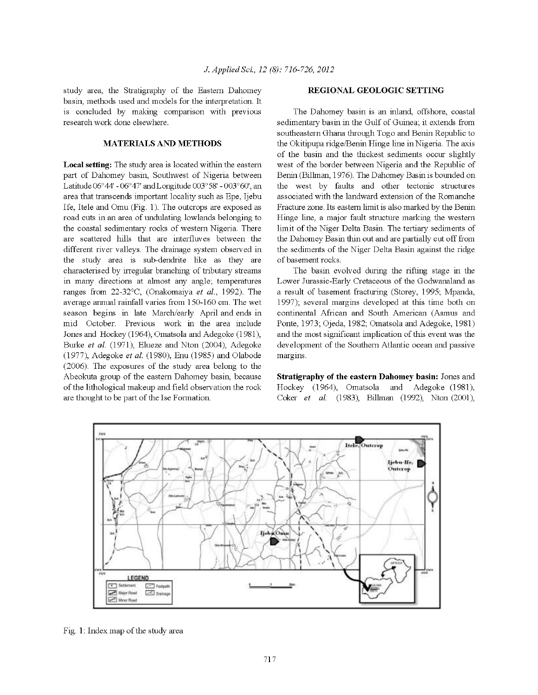study area, the Stratigraphy of the Eastern Dahomey basin, methods used and models for the interpretation. It is concluded by making comparison with previous research work done elsewhere.

#### **MATERIALS AND METHODS**

Local setting: The study area is located within the eastern part of Dahomey basin, Southwest of Nigeria between Latitude  $06^{\circ}44'$  -  $06^{\circ}47'$  and Longitude  $003^{\circ}58'$  -  $003^{\circ}60'$ , an area that transcends important locality such as Epe, Ijebu Ife, Itele and Omu (Fig. 1). The outcrops are exposed as road cuts in an area of undulating lowlands belonging to the coastal sedimentary rocks of western Nigeria. There are scattered hills that are interfluves between the different river valleys. The drainage system observed in the study area is sub-dendrite like as they are characterised by irregular branching of tributary streams in many directions at almost any angle; temperatures ranges from 22-32°C, (Onakomaiya et al., 1992). The average annual rainfall varies from 150-160 cm. The wet season begins in late March/early April and ends in mid October. Previous work in the area include Jones and Hockey (1964), Omatsola and Adegoke (1981), Burke et al. (1971), Elueze and Nton (2004), Adegoke (1977), Adegoke et al. (1980), Enu (1985) and Olabode (2006). The exposures of the study area belong to the Abeokuta group of the eastern Dahomey basin, because of the lithological makeup and field observation the rock are thought to be part of the Ise Formation.

#### REGIONAL GEOLOGIC SETTING

The Dahomey basin is an inland, offshore, coastal sedimentary basin in the Gulf of Guinea; it extends from southeastern Ghana through Togo and Benin Republic to the Okitipupa ridge/Benin Hinge line in Nigeria. The axis of the basin and the thickest sediments occur slightly west of the border between Nigeria and the Republic of Benin (Billman, 1976). The Dahomey Basin is bounded on the west by faults and other tectonic structures associated with the landward extension of the Romanche Fracture zone. Its eastern limit is also marked by the Benin Hinge line, a major fault structure marking the western limit of the Niger Delta Basin. The tertiary sediments of the Dahomey Basin thin out and are partially cut off from the sediments of the Niger Delta Basin against the ridge of basement rocks.

The basin evolved during the rifting stage in the Lower Jurassic-Early Cretaceous of the Godwanaland as a result of basement fracturing (Storey, 1995; Mpanda, 1997); several margins developed at this time both on continental African and South American (Asmus and Ponte, 1973; Ojeda, 1982; Omatsola and Adegoke, 1981) and the most significant implication of this event was the development of the Southern Atlantic ocean and passive margins.

Stratigraphy of the eastern Dahomey basin: Jones and Hockey (1964), Omatsola and Adegoke (1981), Coker et al. (1983), Billman (1992), Nton (2001),



Fig. 1: Index map of the study area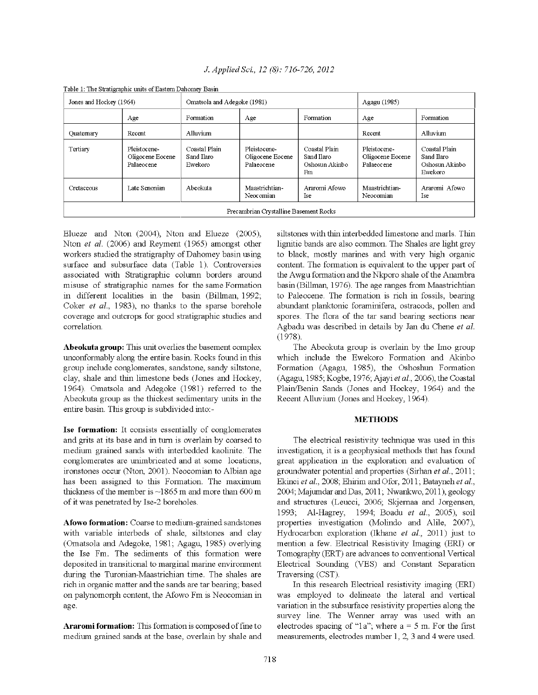| I able 1. The bualist applie tants of Lastein Danomey Dasni |                                                |                                        |                                                |                                                     |                                                |                                                          |
|-------------------------------------------------------------|------------------------------------------------|----------------------------------------|------------------------------------------------|-----------------------------------------------------|------------------------------------------------|----------------------------------------------------------|
| Jones and Hockey (1964)                                     |                                                | Omatsola and Adegoke (1981)            |                                                |                                                     | Agagu (1985)                                   |                                                          |
|                                                             | Age                                            | Formation                              | Age                                            | Formation                                           | Age                                            | Formation                                                |
| Quatemary                                                   | Recent                                         | Alluvium                               |                                                |                                                     | Recent                                         | Alluvium                                                 |
| Tertiary                                                    | Pleistocene-<br>Oligocene Eocene<br>Palaeocene | Coastal Plain<br>Sand Ilaro<br>Ewekoro | Pleistocene-<br>Oligocene Eocene<br>Palaeocene | Coastal Plain<br>Sand Ilaro<br>Oshosun Akinbo<br>Fm | Pleistocene-<br>Oligocene Eocene<br>Palaeocene | Coastal Plain<br>Sand Ilaro<br>Oshosun Akinbo<br>Ewekoro |
| Cretaceous                                                  | Late Senonian                                  | Abeokuta                               | Maastrichtian-<br>Neocomian                    | Araromi Afowo<br>Ise                                | Maastrichtian-<br>Neocomian                    | Araromi Afowo<br>Ise                                     |
| Precambrian Crystalline Basement Rocks                      |                                                |                                        |                                                |                                                     |                                                |                                                          |

J. Applied Sci., 12 (8): 716-726, 2012

Table 1: The Stratigraphic units of Eastern Dahomey Basin

Elueze and Nton (2004), Nton and Elueze (2005), Nton et al. (2006) and Reyment (1965) amongst other workers studied the stratigraphy of Dahomey basin using surface and subsurface data (Table 1). Controversies associated with Stratigraphic column borders around misuse of stratigraphic names for the same Formation in different localities in the basin (Billman, 1992; Coker et al., 1983), no thanks to the sparse borehole coverage and outcrops for good stratigraphic studies and correlation.

Abeokuta group: This unit overlies the basement complex unconformably along the entire basin. Rocks found in this group include conglomerates, sandstone, sandy siltstone, clay, shale and thin limestone beds (Jones and Hockey, 1964). Omatsola and Adegoke (1981) referred to the Abeokuta group as the thickest sedimentary units in the entire basin. This group is subdivided into:-

Ise formation: It consists essentially of conglomerates and grits at its base and in turn is overlain by coarsed to medium grained sands with interbedded kaolinite. The conglomerates are unimbricated and at some locations, ironstones occur (Nton, 2001). Neocomian to Albian age has been assigned to this Formation. The maximum thickness of the member is  $\sim$ 1865 m and more than 600 m of it was penetrated by Ise-2 boreholes.

Afowo formation: Coarse to medium-grained sandstones with variable interbeds of shale, siltstones and clay (Omatsola and Adegoke, 1981; Agagu, 1985) overlying the Ise Fm. The sediments of this formation were deposited in transitional to marginal marine environment during the Turonian-Maastrichian time. The shales are rich in organic matter and the sands are tar bearing; based on palynomorph content, the Afowo Fm is Neocomian in age.

**Araromi formation:** This formation is composed of fine to medium grained sands at the base, overlain by shale and siltstones with thin interbedded limestone and marls. Thin lignitic bands are also common. The Shales are light grey to black, mostly marines and with very high organic content. The formation is equivalent to the upper part of the Awgu formation and the Nkporo shale of the Anambra basin (Billman, 1976). The age ranges from Maastrichtian to Paleocene. The formation is rich in fossils, bearing abundant planktonic foraminifera, ostracods, pollen and spores. The flora of the tar sand bearing sections near Agbadu was described in details by Jan du Chene et al.  $(1978)$ .

The Abeokuta group is overlain by the Imo group which include the Ewekoro Formation and Akinbo Formation (Agagu, 1985), the Oshoshun Formation (Agagu, 1985; Kogbe, 1976; Ajayi et al., 2006), the Coastal Plain/Benin Sands (Jones and Hockey, 1964) and the Recent Alluvium (Jones and Hockey, 1964).

# **METHODS**

The electrical resistivity technique was used in this investigation, it is a geophysical methods that has found great application in the exploration and evaluation of groundwater potential and properties (Sirhan et al., 2011; Ekinci et al., 2008; Ehirim and Ofor, 2011; Batayneh et al., 2004; Majumdar and Das, 2011; Nwankwo, 2011), geology and structures (Leucci, 2006; Skjernaa and Jorgensen, 1993; Al-Hagrey, 1994; Boadu et al., 2005), soil properties investigation (Molindo and Alile, 2007), Hydrocarbon exploration (Ikhane et al., 2011) just to mention a few. Electrical Resistivity Imaging (ERI) or Tomography (ERT) are advances to conventional Vertical Electrical Sounding (VES) and Constant Separation Traversing (CST).

In this research Electrical resistivity imaging (ERI) was employed to delineate the lateral and vertical variation in the subsurface resistivity properties along the survey line. The Wenner array was used with an electrodes spacing of "1a"; where  $a = 5$  m. For the first measurements, electrodes number 1, 2, 3 and 4 were used.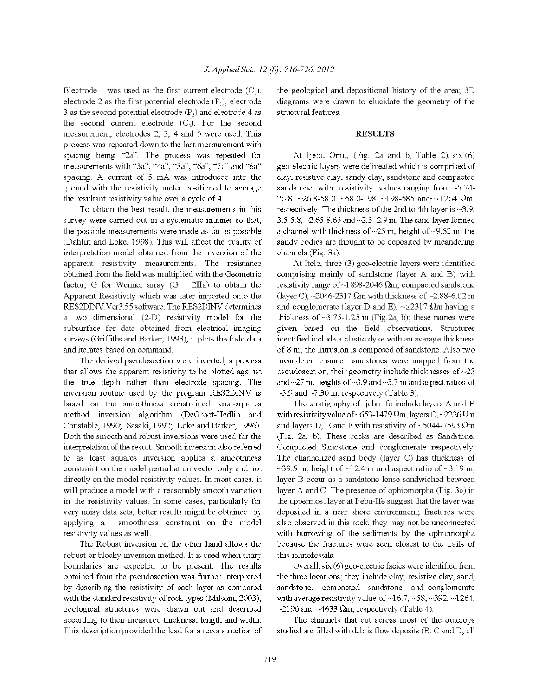Electrode 1 was used as the first current electrode  $(C_1)$ , electrode 2 as the first potential electrode  $(P_1)$ , electrode 3 as the second potential electrode  $(P_2)$  and electrode 4 as the second current electrode  $(C_2)$ . For the second measurement, electrodes 2, 3, 4 and 5 were used. This process was repeated down to the last measurement with spacing being "2a". The process was repeated for measurements with "3a", "4a", "5a", "6a", "7a" and "8a" spacing. A current of 5 mA was introduced into the ground with the resistivity meter positioned to average the resultant resistivity value over a cycle of 4.

To obtain the best result, the measurements in this survey were carried out in a systematic manner so that, the possible measurements were made as far as possible (Dahlin and Loke, 1998). This will affect the quality of interpretation model obtained from the inversion of the apparent resistivity measurements. The resistance obtained from the field was multiplied with the Geometric factor, G for Wenner array (G =  $2\Pi$ a) to obtain the Apparent Resistivity which was later imported onto the RES2DINV.Ver3.55 software. The RES2DINV determines a two dimensional (2-D) resistivity model for the subsurface for data obtained from electrical imaging surveys (Griffiths and Barker, 1993), it plots the field data and iterates based on command.

The derived pseudosection were inverted, a process that allows the apparent resistivity to be plotted against the true depth rather than electrode spacing. The inversion routine used by the program RES2DINV is based on the smoothness constrained least-squares method inversion algorithm (DeGroot-Hedlin and Constable, 1990; Sasaki, 1992; Loke and Barker, 1996). Both the smooth and robust inversions were used for the interpretation of the result. Smooth inversion also referred to as least squares inversion applies a smoothness constraint on the model perturbation vector only and not directly on the model resistivity values. In most cases, it will produce a model with a reasonably smooth variation in the resistivity values. In some cases, particularly for very noisy data sets, better results might be obtained by applying a smoothness constraint on the model resistivity values as well.

The Robust inversion on the other hand allows the robust or blocky inversion method. It is used when sharp boundaries are expected to be present. The results obtained from the pseudosection was further interpreted by describing the resistivity of each layer as compared with the standard resistivity of rock types (Milsom, 2003), geological structures were drawn out and described according to their measured thickness, length and width. This description provided the lead for a reconstruction of the geological and depositional history of the area, 3D diagrams were drawn to elucidate the geometry of the structural features.

#### **RESULTS**

At Ijebu Omu, (Fig. 2a and b, Table 2), six (6) geo-electric layers were delineated which is comprised of clay, resistive clay, sandy clay, sandstone and compacted sandstone with resistivity values ranging from  $-5.74$ -26.8, ~26.8-58.0, ~58.0-198, ~198-585 and~ $\geq$ 1264  $\Omega$ m, respectively. The thickness of the 2nd to 4th layer is  $\sim$ 3.9, 3.5-5.8,  $\sim$ 2.65-8.65 and  $\sim$ 2.5-2.9 m. The sand layer formed a channel with thickness of  $\sim$ 25 m, height of  $\sim$ 9.52 m; the sandy bodies are thought to be deposited by meandering channels (Fig. 3a).

At Itele, three (3) geo-electric layers were identified comprising mainly of sandstone (layer A and B) with resistivity range of ~1898-2046  $\Omega$ m, compacted sandstone (layer C),  $\sim$ 2046-2317  $\Omega$ m with thickness of  $\sim$ 2.88-6.02 m and conglomerate (layer D and E),  $\sim \geq 2317$  Qm having a thickness of  $\sim$ 3.75-1.25 m (Fig.2a, b); these names were given based on the field observations. Structures identified include a clastic dyke with an average thickness of 8 m, the intrusion is composed of sandstone. Also two meandered channel sandstones were mapped from the pseudosection, their geometry include thicknesses of  $\sim$ 23 and  $\sim$ 27 m, heights of  $\sim$ 3.9 and  $\sim$ 3.7 m and aspect ratios of  $\sim$ 5.9 and  $\sim$ 7.30 m, respectively (Table 3).

The stratigraphy of Ijebu Ife include layers A and B with resistivity value of ~653-1479  $\Omega$ m, layers C, ~2226  $\Omega$ m and layers D, E and F with resistivity of  $~5044$ -7593  $\Omega$ m (Fig. 2a, b). These rocks are described as Sandstone, Compacted Sandstone and conglomerate respectively. The channelized sand body (layer C) has thickness of  $\sim$ 39.5 m, height of  $\sim$ 12.4 m and aspect ratio of  $\sim$ 3.19 m; layer B occur as a sandstone lense sandwiched between layer A and C. The presence of ophiomorpha (Fig. 3c) in the uppermost layer at Ijebu-Ife suggest that the layer was deposited in a near shore environment; fractures were also observed in this rock, they may not be unconnected with burrowing of the sediments by the ophiomorpha because the fractures were seen closest to the trails of this ichnofossils.

Overall, six (6) geo-electric facies were identified from the three locations, they include clay, resistive clay, sand, sandstone, compacted sandstone and conglomerate with average resistivity value of  $~16.7, -58, -392, -1264,$ ~2196 and ~4633  $\Omega$ m, respectively (Table 4).

The channels that cut across most of the outcrops studied are filled with debris flow deposits (B, C and D, all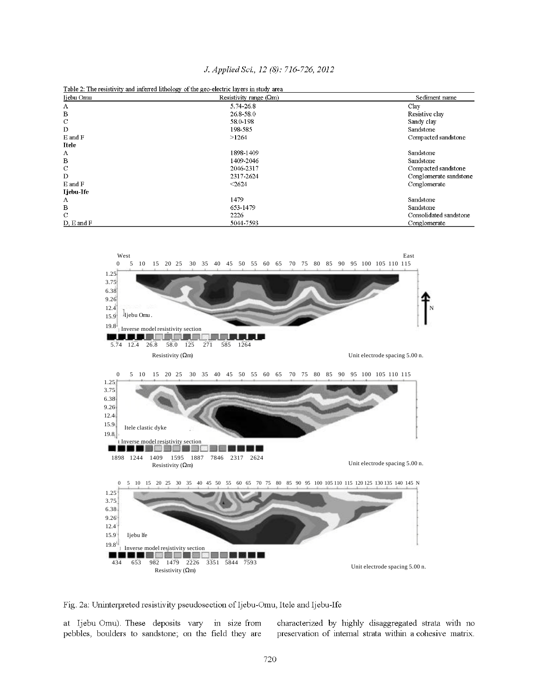|                   | Table 2: The resistivity and inferred lithology of the geo-electric layers in study area |                        |
|-------------------|------------------------------------------------------------------------------------------|------------------------|
| Ijebu Omu         | Resistivity range $(Qm)$                                                                 | Sediment name          |
| А                 | 5.74-26.8                                                                                | Clay                   |
| B                 | 26.8-58.0                                                                                | Resistive clav         |
| C                 | 58.0-198                                                                                 | Sandy clay             |
| D                 | 198-585                                                                                  | Sandstone              |
| E and F           | >1264                                                                                    | Compacted sandstone    |
| Itele             |                                                                                          |                        |
| А                 | 1898-1409                                                                                | Sandstone              |
| $\, {\bf B}$      | 1409-2046                                                                                | Sandstone              |
| C                 | 2046-2317                                                                                | Compacted sandstone    |
| D                 | 2317-2624                                                                                | Conglomerate sandstone |
| E and F           | < 2624                                                                                   | Conglomerate           |
| Ijebu-Ife         |                                                                                          |                        |
| А                 | 1479                                                                                     | Sandstone              |
| B                 | 653-1479                                                                                 | Sandstone              |
| $\mathbf C$       | 2226                                                                                     | Consolidated sandstone |
| $D$ , $E$ and $F$ | 5044-7593                                                                                | Conglomerate           |

J. Applied Sci., 12 (8): 716-726, 2012



Fig. 2a: Uninterpreted resistivity pseudosection of Ijebu-Omu, Itele and Ijebu-Ife

at Ijebu Omu). These deposits vary in size from pebbles, boulders to sandstone; on the field they are

characterized by highly disaggregated strata with no preservation of internal strata within a cohesive matrix.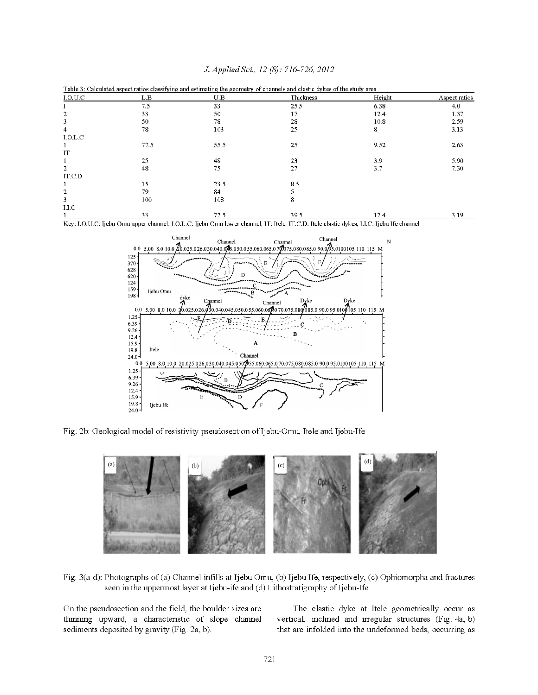| I.O.U.C          | L.B  | U.B  | Thickness | Height | Aspect ratios |
|------------------|------|------|-----------|--------|---------------|
|                  | 7.5  | 33   | 25.5      | 6.38   | 4.0           |
|                  | 33   | 50   | 17        | 12.4   | 1.37          |
| 3                | 50   | 78   | 28        | 10.8   | 2.59          |
| 4                | 78   | 103  | 25        | 8      | 3.13          |
| I.O.L.C          |      |      |           |        |               |
|                  | 77.5 | 55.5 | 25        | 9.52   | 2.63          |
| IT               |      |      |           |        |               |
|                  | 25   | 48   | 23        | 3.9    | 5.90          |
| $\overline{2}$   | 48   | 75   | 27        | 3.7    | 7.30          |
| IT.C.D           |      |      |           |        |               |
|                  | 15   | 23.5 | 8.5       |        |               |
| $\overline{2}$   | 79   | 84   |           |        |               |
| 3                | 100  | 108  | 8         |        |               |
| $_{\rm I. I. C}$ |      |      |           |        |               |
|                  | 33   | 72.5 | 39.5      | 12.4   | 3.19          |

J. Applied Sci., 12 (8): 716-726, 2012

Key: I.O.U.C: Ijebu Omu upper channel; I.O.L.C: Ijebu Omu lower channel, IT: Itele, IT.C.D: Itele clastic dykes, I.I.C: Ijebu Ife channel



Fig. 2b: Geological model of resistivity pseudosection of Ijebu-Omu, Itele and Ijebu-Ife



Fig. 3(a-d): Photographs of (a) Channel infills at Ijebu Omu, (b) Ijebu Ife, respectively, (c) Ophiomorpha and fractures seen in the uppermost layer at Ijebu-ife and (d) Lithostratigraphy of Ijebu-Ife

On the pseudosection and the field, the boulder sizes are thinning upward, a characteristic of slope channel sediments deposited by gravity (Fig. 2a, b).

The clastic dyke at Itele geometrically occur as vertical, inclined and irregular structures (Fig. 4a, b) that are infolded into the undeformed beds, occurring as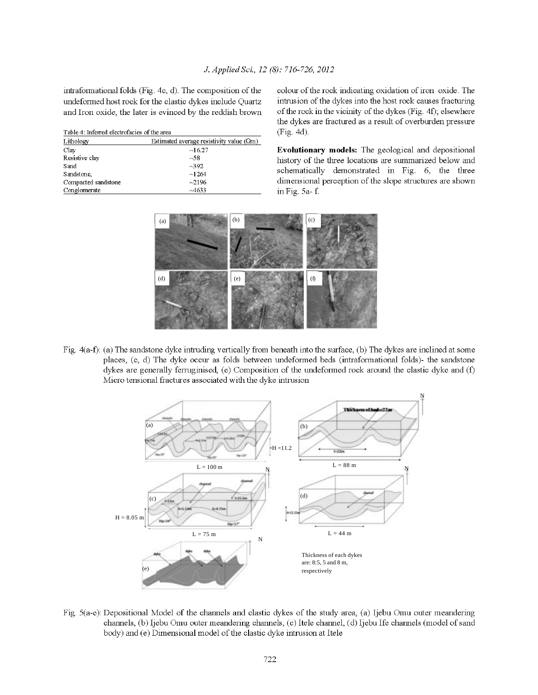intraformational folds (Fig. 4c, d). The composition of the undeformed host rock for the clastic dykes include Quartz and Iron oxide, the later is evinced by the reddish brown

| Table 4: Inferred electrofacies of the area |                                            |  |  |  |
|---------------------------------------------|--------------------------------------------|--|--|--|
| Lithology                                   | Estimated average resistivity value $(Qm)$ |  |  |  |
| Clay                                        | ~16.27                                     |  |  |  |
| Resistive clay                              | ~58                                        |  |  |  |
| Sand                                        | $-392$                                     |  |  |  |
| Sandstone,                                  | ~1264                                      |  |  |  |
| Compacted sandstone                         | $-2196$                                    |  |  |  |
| Conglomerate                                | $-4633$                                    |  |  |  |

colour of the rock indicating oxidation of iron oxide. The intrusion of the dykes into the host rock causes fracturing of the rock in the vicinity of the dykes (Fig. 4f); elsewhere the dykes are fractured as a result of overburden pressure  $(Fig. 4d)$ .

Evolutionary models: The geological and depositional history of the three locations are summarized below and schematically demonstrated in Fig. 6, the three dimensional perception of the slope structures are shown in Fig. 5a-f.



Fig.  $4(a-f)$ : (a) The sandstone dyke intruding vertically from beneath into the surface, (b) The dykes are inclined at some places, (c, d) The dyke occur as folds between undeformed beds (intraformational folds)- the sandstone dykes are generally ferruginised, (e) Composition of the undeformed rock around the clastic dyke and (f) Micro tensional fractures associated with the dyke intrusion



Fig. 5(a-e): Depositional Model of the channels and clastic dykes of the study area, (a) Ijebu Omu outer meandering channels, (b) Ijebu Omu outer meandering channels, (c) Itele channel, (d) Ijebu Ife channels (model of sand body) and (e) Dimensional model of the clastic dyke intrusion at Itele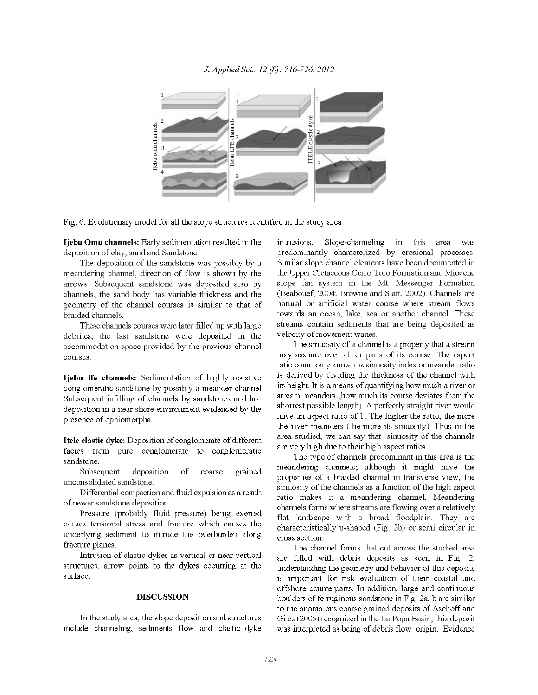

Fig. 6: Evolutionary model for all the slope structures identified in the study area

Ijebu Omu channels: Early sedimentation resulted in the deposition of clay, sand and Sandstone.

The deposition of the sandstone was possibly by a meandering channel, direction of flow is shown by the arrows. Subsequent sandstone was deposited also by channels, the sand body has variable thickness and the geometry of the channel courses is similar to that of braided channels.

These channels courses were later filled up with large debrites, the last sandstone were deposited in the accommodation space provided by the previous channel courses.

Ijebu Ife channels: Sedimentation of highly resistive conglomeratic sandstone by possibly a meander channel Subsequent infilling of channels by sandstones and last deposition in a near shore environment evidenced by the presence of ophiomorpha.

Itele clastic dyke: Deposition of conglomerate of different facies from pure conglomerate to conglomeratic sandstone.

Subsequent deposition grained of coarse unconsolidated sandstone.

Differential compaction and fluid expulsion as a result of newer sandstone deposition.

Pressure (probably fluid pressure) being exerted causes tensional stress and fracture which causes the underlying sediment to intrude the overburden along fracture planes.

Intrusion of clastic dykes as vertical or near-vertical structures, arrow points to the dykes occurring at the surface.

#### **DISCUSSION**

In the study area, the slope deposition and structures include channeling, sediments flow and clastic dyke

Slope-channeling in this intrusions. area was predominantly characterized by erosional processes. Similar slope channel elements have been documented in the Upper Cretaceous Cerro Toro Formation and Miocene slope fan system in the Mt. Messenger Formation (Beabouef, 2004; Browne and Slatt, 2002). Channels are natural or artificial water course where stream flows towards an ocean, lake, sea or another channel. These streams contain sediments that are being deposited as velocity of movement wanes.

The sinuosity of a channel is a property that a stream may assume over all or parts of its course. The aspect ratio commonly known as sinuosity index or meander ratio is derived by dividing the thickness of the channel with its height. It is a means of quantifying how much a river or stream meanders (how much its course deviates from the shortest possible length). A perfectly straight river would have an aspect ratio of 1. The higher the ratio, the more the river meanders (the more its sinuosity). Thus in the area studied, we can say that sinuosity of the channels are very high due to their high aspect ratios.

The type of channels predominant in this area is the meandering channels; although it might have the properties of a braided channel in transverse view, the sinuosity of the channels as a function of the high aspect ratio makes it a meandering channel. Meandering channels forms where streams are flowing over a relatively flat landscape with a broad floodplain. They are characteristically u-shaped (Fig. 2b) or semi circular in cross section.

The channel forms that cut across the studied area are filled with debris deposits as seen in Fig. 2, understanding the geometry and behavior of this deposits is important for risk evaluation of their coastal and offshore counterparts. In addition, large and continuous boulders of ferruginous sandstone in Fig. 2a, b are similar to the anomalous coarse grained deposits of Aschoff and Giles (2005) recognized in the La Popa Basin, this deposit was interpreted as being of debris flow origin. Evidence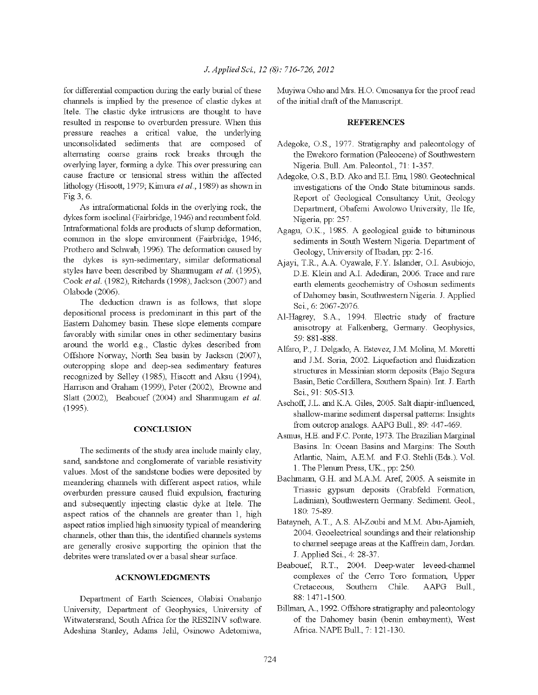for differential compaction during the early burial of these channels is implied by the presence of clastic dykes at Itele. The clastic dyke intrusions are thought to have resulted in response to overburden pressure. When this pressure reaches a critical value, the underlying unconsolidated sediments that are composed of alternating coarse grains rock breaks through the overlying layer, forming a dyke. This over pressuring can cause fracture or tensional stress within the affected lithology (Hiscott, 1979; Kimura et al., 1989) as shown in Fig 3, 6.

As intraformational folds in the overlying rock, the dykes form isoclinal (Fairbridge, 1946) and recumbent fold. Intraformational folds are products of slump deformation, common in the slope environment (Fairbridge, 1946; Prothero and Schwab, 1996). The deformation caused by the dykes is syn-sedimentary, similar deformational styles have been described by Shanmugam et al. (1995), Cook et al. (1982), Ritchards (1998), Jackson (2007) and Olabode (2006).

The deduction drawn is as follows, that slope depositional process is predominant in this part of the Eastern Dahomey basin. These slope elements compare favorably with similar ones in other sedimentary basins around the world e.g., Clastic dykes described from Offshore Norway, North Sea basin by Jackson (2007), outcropping slope and deep-sea sedimentary features recognized by Selley (1985), Hiscott and Aksu (1994), Harrison and Graham (1999), Peter (2002), Browne and Slatt (2002), Beabouef (2004) and Shanmugam et al.  $(1995).$ 

### **CONCLUSION**

The sediments of the study area include mainly clay, sand, sandstone and conglomerate of variable resistivity values. Most of the sandstone bodies were deposited by meandering channels with different aspect ratios, while overburden pressure caused fluid expulsion, fracturing and subsequently injecting clastic dyke at Itele. The aspect ratios of the channels are greater than 1, high aspect ratios implied high sinuosity typical of meandering channels, other than this, the identified channels systems are generally erosive supporting the opinion that the debrites were translated over a basal shear surface.

#### **ACKNOWLEDGMENTS**

Department of Earth Sciences, Olabisi Onabanjo University, Department of Geophysics, University of Witwatersrand, South Africa for the RES2INV software. Adeshina Stanley, Adams Jelil, Osinowo Adetomiwa, Muyiwa Osho and Mrs. H.O. Omosanya for the proof read of the initial draft of the Manuscript.

#### **REFERENCES**

- Adegoke, O.S., 1977. Stratigraphy and paleontology of the Ewekoro formation (Paleocene) of Southwestern Nigeria. Bull. Am. Paleontol., 71: 1-357.
- Adegoke, O.S., B.D. Ako and E.I. Enu, 1980. Geotechnical investigations of the Ondo State bituminous sands. Report of Geological Consultancy Unit, Geology Department, Obafemi Awolowo University, Ile Ife, Nigeria, pp. 257.
- Agagu, O.K., 1985. A geological guide to bituminous sediments in South Western Nigeria. Department of Geology, University of Ibadan, pp. 2-16.
- Ajayi, T.R., A.A. Oyawale, F.Y. Islander, O.I. Asubiojo, D.E. Klein and A.I. Adediran, 2006. Trace and rare earth elements geochemistry of Oshosun sediments of Dahomey basin, Southwestern Nigeria. J. Applied Sci. 6: 2067-2076.
- Al-Hagrey, S.A., 1994. Electric study of fracture anisotropy at Falkenberg, Germany. Geophysics, 59: 881-888.
- Alfaro, P., J. Delgado, A. Estevez, J.M. Molina, M. Moretti and J.M. Soria, 2002. Liquefaction and fluidization structures in Messinian storm deposits (Bajo Segura Basin, Betic Cordillera, Southern Spain). Int. J. Earth Sci., 91: 505-513.
- Aschoff, J.L. and K.A. Giles, 2005. Salt diapir-influenced, shallow-marine sediment dispersal patterns. Insights from outcrop analogs. AAPG Bull., 89: 447-469.
- Asmus, H.E. and F.C. Ponte, 1973. The Brazilian Marginal Basins. In: Ocean Basins and Margins: The South Atlantic, Naim, A.E.M. and F.G. Stehli (Eds.). Vol. 1. The Plenum Press, UK., pp: 250.
- Bachmann, G.H. and M.A.M. Aref, 2005. A seismite in Triassic gypsum deposits (Grabfeld Formation, Ladinian), Southwestern Germany. Sediment. Geol., 180:75-89
- Batayneh, A.T., A.S. Al-Zoubi and M.M. Abu-Ajamieh, 2004. Geoelectrical soundings and their relationship to channel seepage areas at the Kaffrein dam, Jordan. J. Applied Sci., 4: 28-37.
- Beabouef, R.T., 2004. Deep-water leveed-channel complexes of the Cerro Toro formation, Upper Cretaceous. Southern Chile. AAPG Bull., 88: 1471-1500.
- Billman, A., 1992. Offshore stratigraphy and paleontology of the Dahomey basin (benin embayment), West Africa. NAPE Bull., 7: 121-130.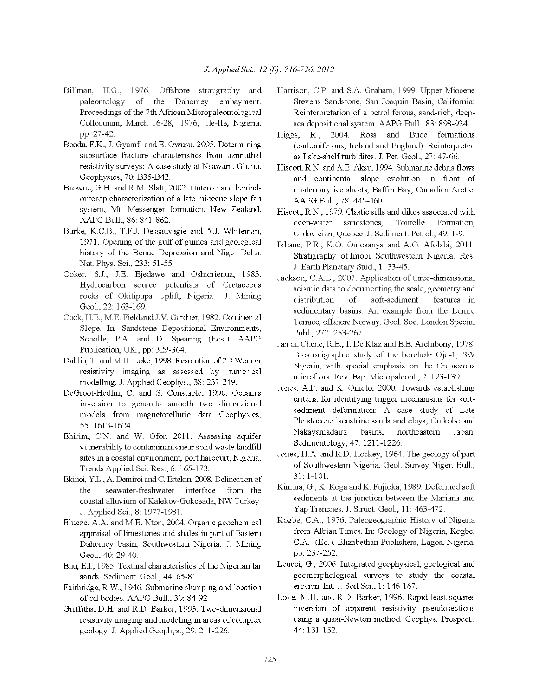- Billman, H.G., 1976. Offshore stratigraphy and paleontology of the Dahomey embayment. Proceedings of the 7th African Micropaleontological Colloquium, March 16-28, 1976, Ile-Ife, Nigeria, pp: 27-42.
- Boadu, F.K., J. Gyamfi and E. Owusu, 2005. Determining subsurface fracture characteristics from azimuthal resistivity surveys: A case study at Nsawam, Ghana. Geophysics, 70: B35-B42.
- Browne, G.H. and R.M. Slatt, 2002. Outcrop and behindoutcrop characterization of a late miocene slope fan system, Mt. Messenger formation, New Zealand. AAPG Bull., 86: 841-862.
- Burke, K.C.B., T.F.J. Dessauvagie and A.J. Whiteman, 1971. Opening of the gulf of guinea and geological history of the Benue Depression and Niger Delta. Nat. Phys. Sci., 233: 51-55.
- Coker, S.J., J.E. Ejedawe and Oshiorienua, 1983. Hydrocarbon source potentials of Cretaceous rocks of Okitipupa Uplift, Nigeria. J. Mining Geol., 22: 163-169.
- Cook, H.E., M.E. Field and J.V. Gardner, 1982. Continental Slope. In: Sandstone Depositional Environments, Scholle, P.A. and D. Spearing (Eds.). AAPG Publication, UK., pp: 329-364.
- Dahlin, T. and M.H. Loke, 1998. Resolution of 2D Wenner resistivity imaging as assessed by numerical modelling. J. Applied Geophys., 38: 237-249.
- DeGroot-Hedlin, C. and S. Constable, 1990. Oceam's inversion to generate smooth two dimensional models from magnetotelluric data. Geophysics, 55: 1613-1624.
- Ehirim, C.N. and W. Ofor, 2011. Assessing aquifer vulnerability to contaminants near solid waste landfill sites in a coastal environment, port harcourt, Nigeria. Trends Applied Sci. Res., 6: 165-173.
- Ekinci, Y.L., A. Demirci and C. Ertekin, 2008. Delineation of the seawater-freshwater interface from the coastal alluvium of Kalekoy-Gokceada, NW Turkey. J. Applied Sci., 8: 1977-1981.
- Elueze, A.A. and M.E. Nton, 2004. Organic geochemical appraisal of limestones and shales in part of Eastern Dahomey basin, Southwestern Nigeria. J. Mining Geol., 40: 29-40.
- Enu, E.I., 1985. Textural characteristics of the Nigerian tar sands. Sediment. Geol., 44: 65-81.
- Fairbridge, R.W., 1946. Submarine slumping and location of oil bodies. AAPG Bull., 30: 84-92.
- Griffiths, D.H. and R.D. Barker, 1993. Two-dimensional resistivity imaging and modeling in areas of complex geology. J. Applied Geophys., 29: 211-226.
- Harrison, C.P. and S.A. Graham, 1999. Upper Miocene Stevens Sandstone, San Joaquin Basin, California: Reinterpretation of a petroliferous, sand-rich, deepsea depositional system. AAPG Bull., 83: 898-924.
- Higgs, R., 2004. Ross and Bude formations (carboniferous, Ireland and England): Reinterpreted as Lake-shelf turbidites. J. Pet. Geol., 27: 47-66.
- Hiscott, R.N. and A.E. Aksu, 1994. Submarine debris flows and continental slope evolution in front of quaternary ice sheets, Baffin Bay, Canadian Arctic. AAPG Bull., 78: 445-460.
- Hiscott, R.N., 1979. Clastic sills and dikes associated with deep-water sandstones, Tourelle Formation, Ordovician, Quebec J. Sediment. Petrol., 49: 1-9.
- Ikhane, P.R., K.O. Omosanya and A.O. Afolabi, 2011. Stratigraphy of Imobi Southwestern Nigeria. Res. J. Earth Planetary Stud., 1: 33-45.
- Jackson, C.A.L., 2007. Application of three-dimensional seismic data to documenting the scale, geometry and distribution of soft-sediment features in sedimentary basins: An example from the Lomre Terrace, offshore Norway. Geol. Soc. London Special Publ., 277: 253-267.
- Jan du Chene, R.E., I. De Klaz and E.E. Archibony, 1978. Biostratigraphic study of the borehole Ojo-1, SW Nigeria, with special emphasis on the Cretaceous microflora. Rev. Esp. Micropaleont., 2: 123-139.
- Jones, A.P. and K. Omoto, 2000. Towards establishing criteria for identifying trigger mechanisms for softsediment deformation: A case study of Late Pleistocene lacustrine sands and clays, Onikobe and Nakayamadaira basins. northeastern Japan. Sedimentology, 47: 1211-1226.
- Jones, H.A. and R.D. Hockey, 1964. The geology of part of Southwestern Nigeria. Geol. Survey Niger. Bull.,  $31:1-101.$
- Kimura, G., K. Koga and K. Fujioka, 1989. Deformed soft sediments at the junction between the Mariana and Yap Trenches. J. Struct. Geol., 11: 463-472.
- Kogbe, C.A., 1976. Paleogeographic History of Nigeria from Albian Times. In: Geology of Nigeria, Kogbe, C.A. (Ed.). Elizabethan Publishers, Lagos, Nigeria, pp: 237-252.
- Leucci, G., 2006. Integrated geophysical, geological and geomorphological surveys to study the coastal erosion. Int. J. Soil Sci., 1: 146-167.
- Loke, M.H. and R.D. Barker, 1996. Rapid least-squares inversion of apparent resistivity pseudosections using a quasi-Newton method. Geophys. Prospect., 44: 131-152.